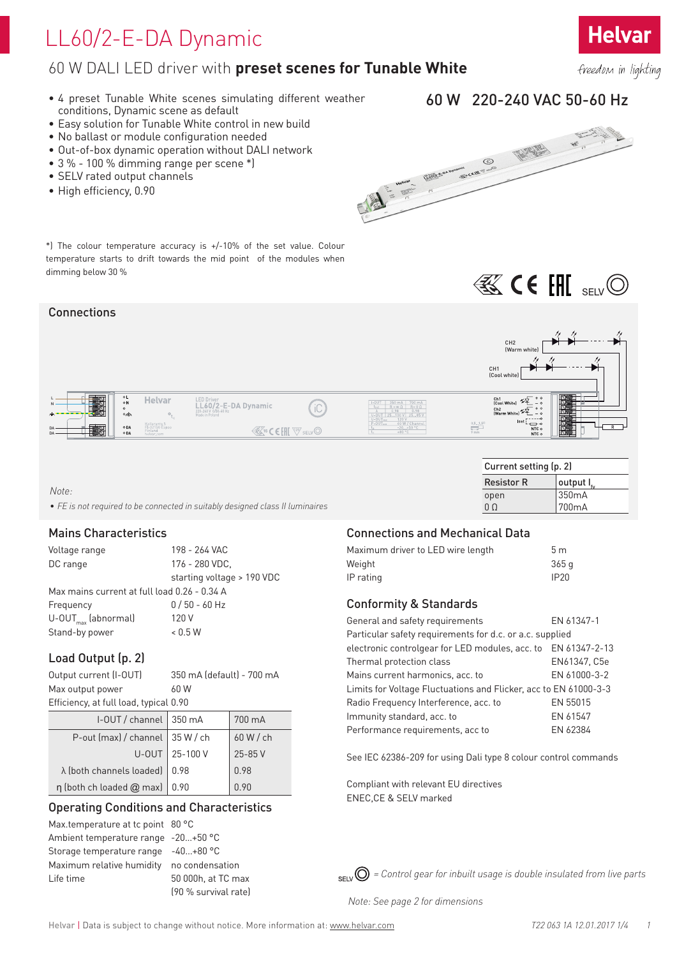# LL60/2-E-DA Dynamic

## 60 W DALI LED driver with **preset scenes for Tunable White**

- 4 preset Tunable White scenes simulating different weather conditions, Dynamic scene as default
- Easy solution for Tunable White control in new build
- No ballast or module configuration needed
- Out-of-box dynamic operation without DALI network
- 3 % 100 % dimming range per scene \*)
- SELV rated output channels
- High efficiency, 0.90



60 W 220-240 VAC 50-60 Hz

Current setting (p. 2)  $\begin{array}{|c|c|c|}\n\hline\text{Resistor R} & \text{output I}_f\\ \hline\text{open} & 350 \text{mA}\n\end{array}$ 

**BS CE FIN** SELVO

0 Ω 700mA

 $350mA$ 

\*) The colour temperature accuracy is +/-10% of the set value. Colour temperature starts to drift towards the mid point of the modules when dimming below 30 %

### Connections



*Note:* 

*• FE is not required to be connected in suitably designed class II luminaires*

### Mains Characteristics

| Voltage range                                | 198 - 264 VAC              |  |  |  |  |  |
|----------------------------------------------|----------------------------|--|--|--|--|--|
| DC range                                     | 176 - 280 VDC,             |  |  |  |  |  |
|                                              | starting voltage > 190 VDC |  |  |  |  |  |
| Max mains current at full load 0.26 - 0.34 A |                            |  |  |  |  |  |
| Frequency                                    | $0/50 - 60$ Hz             |  |  |  |  |  |
| $U$ -OUT <sub>max</sub> (abnormal)           | 120 V                      |  |  |  |  |  |
| Stand-by power                               | < 0.5 W                    |  |  |  |  |  |

## Load Output (p. 2)

| Output current (I-OUT)<br>Max output power | 350 mA (default) - 700 mA<br>60 W |             |  |  |  |  |
|--------------------------------------------|-----------------------------------|-------------|--|--|--|--|
| Efficiency, at full load, typical 0.90     |                                   |             |  |  |  |  |
| I-OUT / channel                            | 350 mA                            | 700 mA      |  |  |  |  |
| P-out (max) / channel                      | 35 W/ch                           | 60 W / ch   |  |  |  |  |
| U-OUT                                      | 25-100 V                          | $25 - 85$ V |  |  |  |  |
| λ (both channels loaded)                   | 0.98                              | 0.98        |  |  |  |  |
| n (both ch loaded @ max)                   | 0.90                              | 0.90        |  |  |  |  |

## Operating Conditions and Characteristics

Max.temperature at tc point 80 °C Ambient temperature range -20…+50 °C Storage temperature range -40…+80 °C Maximum relative humidity no condensation Life time 50 000h, at TC max

(90 % survival rate)

### Connections and Mechanical Data

| Maximum driver to LED wire length | 5m    |
|-----------------------------------|-------|
| Weight                            | 365 a |
| IP rating                         | IP20  |

### Conformity & Standards

| General and safety requirements                                  | EN 61347-1   |
|------------------------------------------------------------------|--------------|
| Particular safety requirements for d.c. or a.c. supplied         |              |
| electronic controlgear for LED modules, acc. to EN 61347-2-13    |              |
| Thermal protection class                                         | EN61347, C5e |
| Mains current harmonics, acc. to                                 | EN 61000-3-2 |
| Limits for Voltage Fluctuations and Flicker, acc to EN 61000-3-3 |              |
| Radio Frequency Interference, acc. to                            | EN 55015     |
| Immunity standard, acc. to                                       | EN 61547     |
| Performance requirements, acc to                                 | EN 62384     |

See IEC 62386-209 for using Dali type 8 colour control commands

Compliant with relevant EU directives ENEC,CE & SELV marked

*= Control gear for inbuilt usage is double insulated from live parts*

*Note: See page 2 for dimensions*

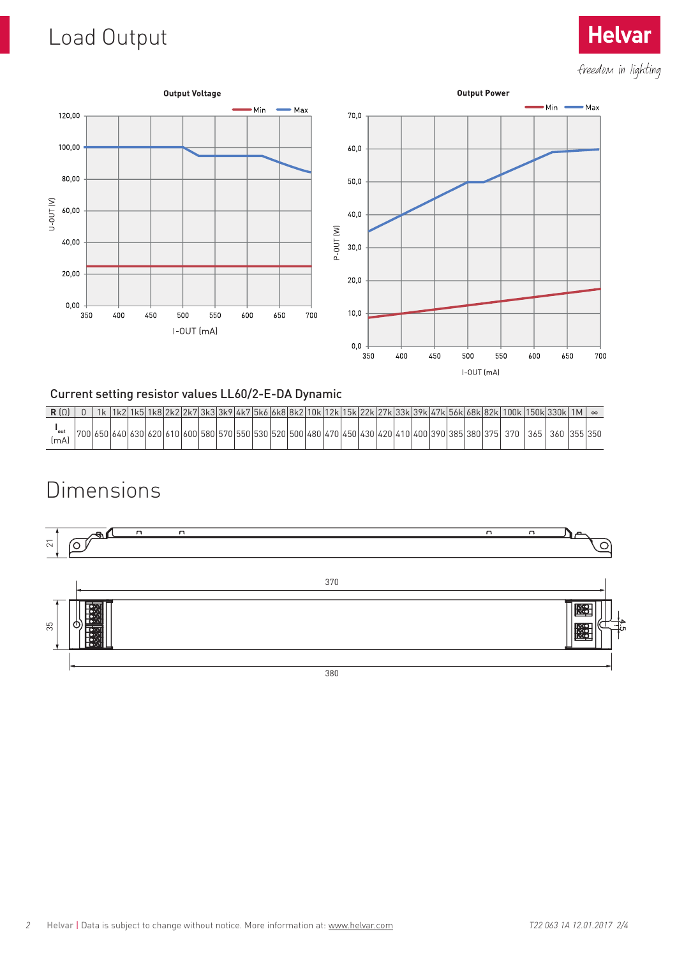# Load Output



## Current setting resistor values LL60/2-E-DA Dynamic

|              |     |                       |  |  |       |                       |  |                   |  |  |  |                             |  |         | 1k2 1k5 1k8 2k2 2k7 3k3 3k9 4k7 5k6 6k8 8k2 10k 12k 15k 22k 27k 33k 39k 47k 56k 68k 82k 100k 150k 330k 1M |     |     |         | $\infty$ |
|--------------|-----|-----------------------|--|--|-------|-----------------------|--|-------------------|--|--|--|-----------------------------|--|---------|-----------------------------------------------------------------------------------------------------------|-----|-----|---------|----------|
| 'out<br>[mA] | 700 | 165016401630162016101 |  |  | 16001 | 158015701550153015201 |  | 15001480147014501 |  |  |  | ) 430 420 410 400 390 385 : |  | 380 375 | 370                                                                                                       | 365 | 360 | 355 350 |          |

## Dimensions



**Helvar**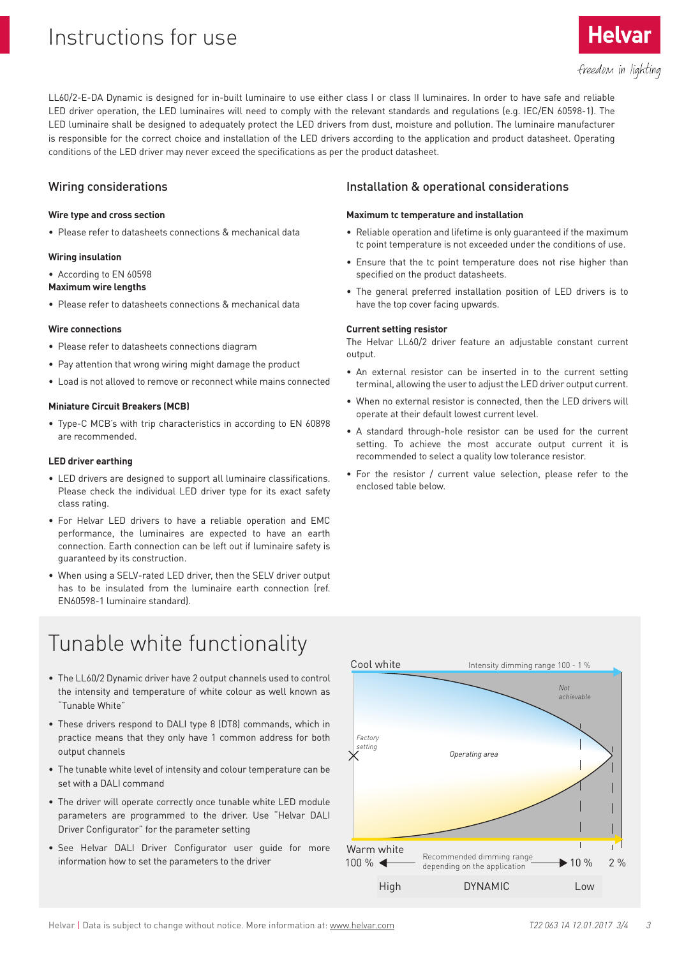## Instructions for use

LL60/2-E-DA Dynamic is designed for in-built luminaire to use either class I or class II luminaires. In order to have safe and reliable LED driver operation, the LED luminaires will need to comply with the relevant standards and regulations (e.g. IEC/EN 60598-1). The LED luminaire shall be designed to adequately protect the LED drivers from dust, moisture and pollution. The luminaire manufacturer is responsible for the correct choice and installation of the LED drivers according to the application and product datasheet. Operating conditions of the LED driver may never exceed the specifications as per the product datasheet.

### Wiring considerations

#### **Wire type and cross section**

• Please refer to datasheets connections & mechanical data

#### **Wiring insulation**

• According to EN 60598

#### **Maximum wire lengths**

• Please refer to datasheets connections & mechanical data

#### **Wire connections**

- Please refer to datasheets connections diagram
- Pay attention that wrong wiring might damage the product
- Load is not alloved to remove or reconnect while mains connected

#### **Miniature Circuit Breakers (MCB)**

• Type-C MCB's with trip characteristics in according to EN 60898 are recommended.

#### **LED driver earthing**

- LED drivers are designed to support all luminaire classifications. Please check the individual LED driver type for its exact safety class rating.
- For Helvar LED drivers to have a reliable operation and EMC performance, the luminaires are expected to have an earth connection. Earth connection can be left out if luminaire safety is guaranteed by its construction.
- When using a SELV-rated LED driver, then the SELV driver output has to be insulated from the luminaire earth connection (ref. EN60598-1 luminaire standard).

# Tunable white functionality

- The LL60/2 Dynamic driver have 2 output channels used to control the intensity and temperature of white colour as well known as "Tunable White"
- These drivers respond to DALI type 8 (DT8) commands, which in practice means that they only have 1 common address for both output channels
- The tunable white level of intensity and colour temperature can be set with a DALI command
- The driver will operate correctly once tunable white LED module parameters are programmed to the driver. Use "Helvar DALI Driver Configurator" for the parameter setting
- See Helvar DALI Driver Configurator user guide for more information how to set the parameters to the driver

### Installation & operational considerations

#### **Maximum tc temperature and installation**

- Reliable operation and lifetime is only guaranteed if the maximum tc point temperature is not exceeded under the conditions of use.
- Ensure that the tc point temperature does not rise higher than specified on the product datasheets.
- The general preferred installation position of LED drivers is to have the top cover facing upwards.

#### **Current setting resistor**

The Helvar LL60/2 driver feature an adjustable constant current output.

- An external resistor can be inserted in to the current setting terminal, allowing the user to adjust the LED driver output current.
- When no external resistor is connected, then the LED drivers will operate at their default lowest current level.
- A standard through-hole resistor can be used for the current setting. To achieve the most accurate output current it is recommended to select a quality low tolerance resistor.
- For the resistor / current value selection, please refer to the enclosed table below.